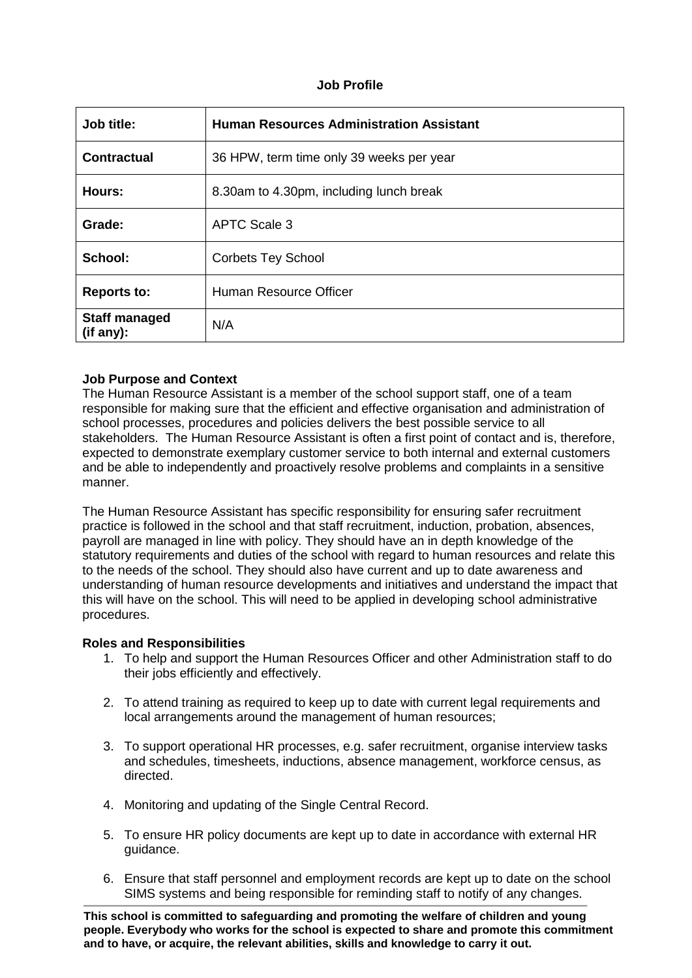# **Job Profile**

| Job title:                         | <b>Human Resources Administration Assistant</b> |  |  |
|------------------------------------|-------------------------------------------------|--|--|
| <b>Contractual</b>                 | 36 HPW, term time only 39 weeks per year        |  |  |
| Hours:                             | 8.30am to 4.30pm, including lunch break         |  |  |
| Grade:                             | <b>APTC Scale 3</b>                             |  |  |
| School:                            | <b>Corbets Tey School</b>                       |  |  |
| <b>Reports to:</b>                 | Human Resource Officer                          |  |  |
| <b>Staff managed</b><br>(iif any): | N/A                                             |  |  |

### **Job Purpose and Context**

The Human Resource Assistant is a member of the school support staff, one of a team responsible for making sure that the efficient and effective organisation and administration of school processes, procedures and policies delivers the best possible service to all stakeholders. The Human Resource Assistant is often a first point of contact and is, therefore, expected to demonstrate exemplary customer service to both internal and external customers and be able to independently and proactively resolve problems and complaints in a sensitive manner.

The Human Resource Assistant has specific responsibility for ensuring safer recruitment practice is followed in the school and that staff recruitment, induction, probation, absences, payroll are managed in line with policy. They should have an in depth knowledge of the statutory requirements and duties of the school with regard to human resources and relate this to the needs of the school. They should also have current and up to date awareness and understanding of human resource developments and initiatives and understand the impact that this will have on the school. This will need to be applied in developing school administrative procedures.

# **Roles and Responsibilities**

- 1. To help and support the Human Resources Officer and other Administration staff to do their jobs efficiently and effectively.
- 2. To attend training as required to keep up to date with current legal requirements and local arrangements around the management of human resources;
- 3. To support operational HR processes, e.g. safer recruitment, organise interview tasks and schedules, timesheets, inductions, absence management, workforce census, as directed.
- 4. Monitoring and updating of the Single Central Record.
- 5. To ensure HR policy documents are kept up to date in accordance with external HR guidance.
- 6. Ensure that staff personnel and employment records are kept up to date on the school SIMS systems and being responsible for reminding staff to notify of any changes.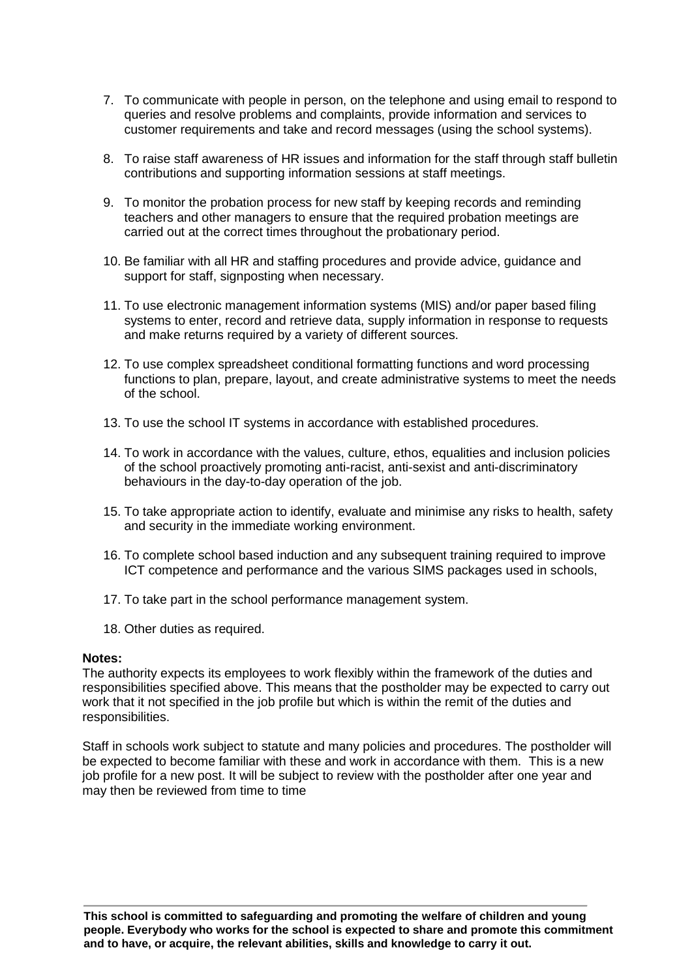- 7. To communicate with people in person, on the telephone and using email to respond to queries and resolve problems and complaints, provide information and services to customer requirements and take and record messages (using the school systems).
- 8. To raise staff awareness of HR issues and information for the staff through staff bulletin contributions and supporting information sessions at staff meetings.
- 9. To monitor the probation process for new staff by keeping records and reminding teachers and other managers to ensure that the required probation meetings are carried out at the correct times throughout the probationary period.
- 10. Be familiar with all HR and staffing procedures and provide advice, guidance and support for staff, signposting when necessary.
- 11. To use electronic management information systems (MIS) and/or paper based filing systems to enter, record and retrieve data, supply information in response to requests and make returns required by a variety of different sources.
- 12. To use complex spreadsheet conditional formatting functions and word processing functions to plan, prepare, layout, and create administrative systems to meet the needs of the school.
- 13. To use the school IT systems in accordance with established procedures.
- 14. To work in accordance with the values, culture, ethos, equalities and inclusion policies of the school proactively promoting anti-racist, anti-sexist and anti-discriminatory behaviours in the day-to-day operation of the job.
- 15. To take appropriate action to identify, evaluate and minimise any risks to health, safety and security in the immediate working environment.
- 16. To complete school based induction and any subsequent training required to improve ICT competence and performance and the various SIMS packages used in schools,
- 17. To take part in the school performance management system.
- 18. Other duties as required.

#### **Notes:**

The authority expects its employees to work flexibly within the framework of the duties and responsibilities specified above. This means that the postholder may be expected to carry out work that it not specified in the job profile but which is within the remit of the duties and responsibilities.

Staff in schools work subject to statute and many policies and procedures. The postholder will be expected to become familiar with these and work in accordance with them. This is a new job profile for a new post. It will be subject to review with the postholder after one year and may then be reviewed from time to time

**This school is committed to safeguarding and promoting the welfare of children and young people. Everybody who works for the school is expected to share and promote this commitment and to have, or acquire, the relevant abilities, skills and knowledge to carry it out.**